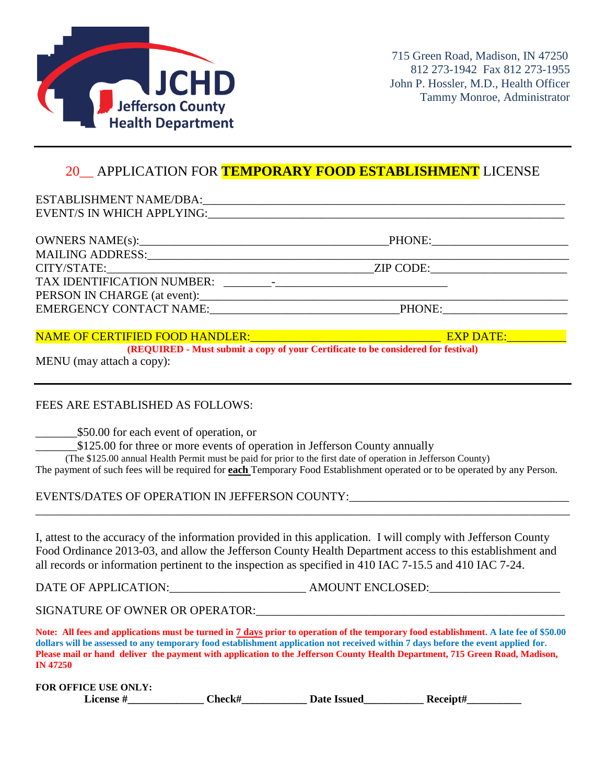

### 20\_\_ APPLICATION FOR **TEMPORARY FOOD ESTABLISHMENT** LICENSE

| EMERGENCY CONTACT NAME: PHONE: |
|--------------------------------|
|                                |

#### NAME OF CERTIFIED FOOD HANDLER:\_\_\_\_\_\_\_\_\_\_\_\_\_\_\_\_\_\_\_\_\_\_\_\_\_\_\_\_\_\_\_\_ EXP DATE:\_\_\_\_\_\_\_\_\_\_

**(REQUIRED - Must submit a copy of your Certificate to be considered for festival)**

MENU (may attach a copy):

#### FEES ARE ESTABLISHED AS FOLLOWS:

\_\_\_\_\_\_\_\$50.00 for each event of operation, or

\$125.00 for three or more events of operation in Jefferson County annually

 (The \$125.00 annual Health Permit must be paid for prior to the first date of operation in Jefferson County) The payment of such fees will be required for **each** Temporary Food Establishment operated or to be operated by any Person.

EVENTS/DATES OF OPERATION IN JEFFERSON COUNTY:

I, attest to the accuracy of the information provided in this application. I will comply with Jefferson County Food Ordinance 2013-03, and allow the Jefferson County Health Department access to this establishment and all records or information pertinent to the inspection as specified in 410 IAC 7-15.5 and 410 IAC 7-24.

\_\_\_\_\_\_\_\_\_\_\_\_\_\_\_\_\_\_\_\_\_\_\_\_\_\_\_\_\_\_\_\_\_\_\_\_\_\_\_\_\_\_\_\_\_\_\_\_\_\_\_\_\_\_\_\_\_\_\_\_\_\_\_\_\_\_\_\_\_\_\_\_\_\_\_\_\_\_\_\_\_\_\_\_\_\_\_\_\_\_

DATE OF APPLICATION:\_\_\_\_\_\_\_\_\_\_\_\_\_\_\_\_\_\_\_\_\_\_\_ AMOUNT ENCLOSED:\_\_\_\_\_\_\_\_\_\_\_\_\_\_\_\_\_\_\_\_\_\_

SIGNATURE OF OWNER OR OPERATOR:\_\_\_\_\_\_\_\_\_\_\_\_\_\_\_\_\_\_\_\_\_\_\_\_\_\_\_\_\_\_\_\_\_\_\_\_\_\_\_\_\_\_\_\_\_\_\_\_\_\_\_\_

**Note: All fees and applications must be turned in 7 days prior to operation of the temporary food establishment. A late fee of \$50.00 dollars will be assessed to any temporary food establishment application not received within 7 days before the event applied for. Please mail or hand deliver the payment with application to the Jefferson County Health Department, 715 Green Road, Madison, IN 47250**

**FOR OFFICE USE ONLY:**

License #  $Check \#$  Date Issued Receipt#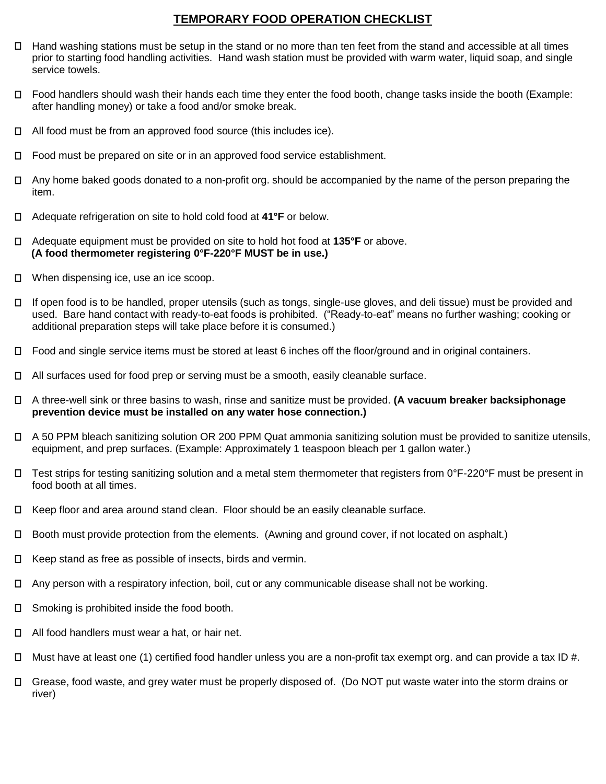#### **TEMPORARY FOOD OPERATION CHECKLIST**

- $\Box$  Hand washing stations must be setup in the stand or no more than ten feet from the stand and accessible at all times prior to starting food handling activities. Hand wash station must be provided with warm water, liquid soap, and single service towels.
- $\Box$  Food handlers should wash their hands each time they enter the food booth, change tasks inside the booth (Example: after handling money) or take a food and/or smoke break.
- $\Box$  All food must be from an approved food source (this includes ice).
- $\Box$ Food must be prepared on site or in an approved food service establishment.
- $\Box$  Any home baked goods donated to a non-profit org. should be accompanied by the name of the person preparing the item.
- Adequate refrigeration on site to hold cold food at **41°F** or below.  $\Box$
- Adequate equipment must be provided on site to hold hot food at **135°F** or above.  **(A food thermometer registering 0°F-220°F MUST be in use.)**
- □ When dispensing ice, use an ice scoop.
- If open food is to be handled, proper utensils (such as tongs, single-use gloves, and deli tissue) must be provided and  $\Box$ used. Bare hand contact with ready-to-eat foods is prohibited. ("Ready-to-eat" means no further washing; cooking or additional preparation steps will take place before it is consumed.)
- $\Box$  Food and single service items must be stored at least 6 inches off the floor/ground and in original containers.
- All surfaces used for food prep or serving must be a smooth, easily cleanable surface.
- A three-well sink or three basins to wash, rinse and sanitize must be provided. **(A vacuum breaker backsiphonage prevention device must be installed on any water hose connection.)**
- A 50 PPM bleach sanitizing solution OR 200 PPM Quat ammonia sanitizing solution must be provided to sanitize utensils, equipment, and prep surfaces. (Example: Approximately 1 teaspoon bleach per 1 gallon water.)
- $\Box$  Test strips for testing sanitizing solution and a metal stem thermometer that registers from 0°F-220°F must be present in food booth at all times.
- Keep floor and area around stand clean. Floor should be an easily cleanable surface.
- $\Box$ Booth must provide protection from the elements. (Awning and ground cover, if not located on asphalt.)
- $\Box$ Keep stand as free as possible of insects, birds and vermin.
- Any person with a respiratory infection, boil, cut or any communicable disease shall not be working.  $\Box$
- $\Box$ Smoking is prohibited inside the food booth.
- $\Box$  All food handlers must wear a hat, or hair net.
- Must have at least one (1) certified food handler unless you are a non-profit tax exempt org. and can provide a tax ID #.  $\Box$
- Grease, food waste, and grey water must be properly disposed of. (Do NOT put waste water into the storm drains or river)